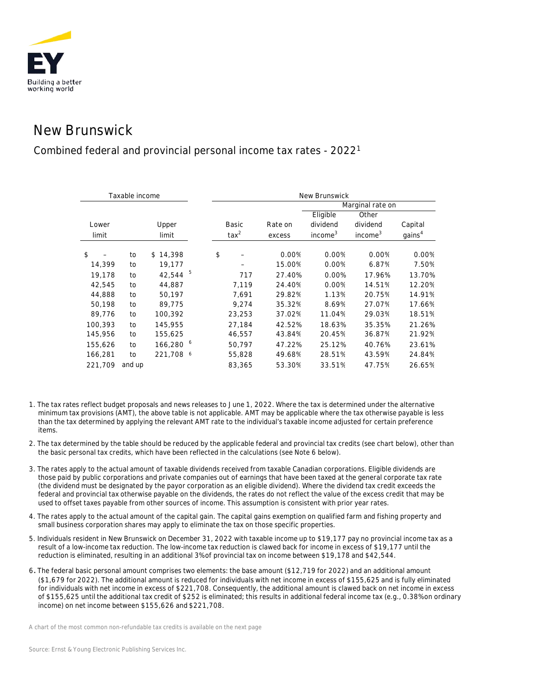

## New Brunswick

## Combined federal and provincial personal income tax rates - 20221

|         | Taxable income |               | New Brunswick |                |         |                     |                     |                    |  |
|---------|----------------|---------------|---------------|----------------|---------|---------------------|---------------------|--------------------|--|
|         |                |               |               |                |         | Marginal rate on    |                     |                    |  |
|         |                |               |               |                |         | Eligible            | Other               |                    |  |
| Lower   |                | Upper         |               | Basic          | Rate on | dividend            | dividend            | Capital            |  |
| limit   |                | limit         |               | $\text{tax}^2$ | excess  | income <sup>3</sup> | income <sup>3</sup> | qains <sup>4</sup> |  |
| \$      | to             | 14,398<br>\$. | \$            |                | 0.00%   | 0.00%               | 0.00%               | 0.00%              |  |
|         |                |               |               |                |         |                     |                     |                    |  |
| 14,399  | to             | 19,177        |               |                | 15.00%  | 0.00%               | 6.87%               | 7.50%              |  |
| 19,178  | to             | 42,544        | 5             | 717            | 27.40%  | 0.00%               | 17.96%              | 13.70%             |  |
| 42,545  | to             | 44,887        |               | 7.119          | 24.40%  | 0.00%               | 14.51%              | 12.20%             |  |
| 44,888  | to             | 50,197        |               | 7.691          | 29.82%  | 1.13%               | 20.75%              | 14.91%             |  |
| 50,198  | to             | 89,775        |               | 9,274          | 35.32%  | 8.69%               | 27.07%              | 17.66%             |  |
| 89,776  | to             | 100,392       |               | 23,253         | 37.02%  | 11.04%              | 29.03%              | 18.51%             |  |
| 100,393 | to             | 145,955       |               | 27,184         | 42.52%  | 18.63%              | 35.35%              | 21.26%             |  |
| 145,956 | to             | 155,625       |               | 46,557         | 43.84%  | 20.45%              | 36.87%              | 21.92%             |  |
| 155,626 | to             | 166,280       | 6             | 50,797         | 47.22%  | 25.12%              | 40.76%              | 23.61%             |  |
| 166,281 | to             | 221,708       | 6             | 55,828         | 49.68%  | 28.51%              | 43.59%              | 24.84%             |  |
| 221,709 | and up         |               |               | 83,365         | 53.30%  | 33.51%              | 47.75%              | 26.65%             |  |

- 1. The tax rates reflect budget proposals and news releases to June 1, 2022. Where the tax is determined under the alternative minimum tax provisions (AMT), the above table is not applicable. AMT may be applicable where the tax otherwise payable is less than the tax determined by applying the relevant AMT rate to the individual's taxable income adjusted for certain preference items.
- 2. The tax determined by the table should be reduced by the applicable federal and provincial tax credits (see chart below), other than the basic personal tax credits, which have been reflected in the calculations (see Note 6 below).
- 3. The rates apply to the actual amount of taxable dividends received from taxable Canadian corporations. Eligible dividends are those paid by public corporations and private companies out of earnings that have been taxed at the general corporate tax rate (the dividend must be designated by the payor corporation as an eligible dividend). Where the dividend tax credit exceeds the federal and provincial tax otherwise payable on the dividends, the rates do not reflect the value of the excess credit that may be used to offset taxes payable from other sources of income. This assumption is consistent with prior year rates.
- 4. The rates apply to the actual amount of the capital gain. The capital gains exemption on qualified farm and fishing property and small business corporation shares may apply to eliminate the tax on those specific properties.
- 5. Individuals resident in New Brunswick on December 31, 2022 with taxable income up to \$19,177 pay no provincial income tax as a result of a low-income tax reduction. The low-income tax reduction is clawed back for income in excess of \$19,177 until the reduction is eliminated, resulting in an additional 3% of provincial tax on income between \$19,178 and \$42,544.
- 6. The federal basic personal amount comprises two elements: the base amount (\$12,719 for 2022) and an additional amount (\$1,679 for 2022). The additional amount is reduced for individuals with net income in excess of \$155,625 and is fully eliminated for individuals with net income in excess of \$221,708. Consequently, the additional amount is clawed back on net income in excess of \$155,625 until the additional tax credit of \$252 is eliminated; this results in additional federal income tax (e.g., 0.38% on ordinary income) on net income between \$155,626 and \$221,708.

*A chart of the most common non-refundable tax credits is available on the next page*